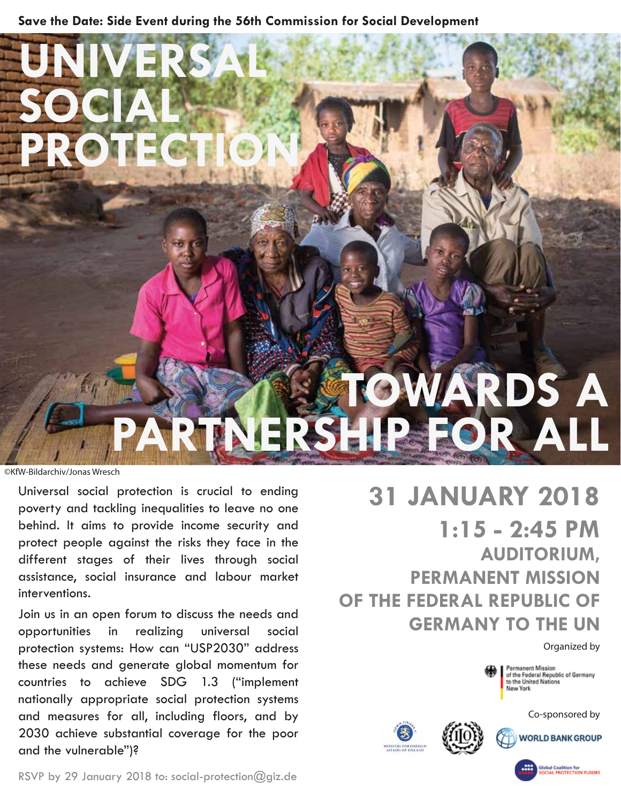**Save the Date: Side Event during the 56th Commission for Social Development**

**VERS** 

**PROTECTION**

**SOCIAL**

# **TOWARDS A PARTNERSHIP FOR ALL** ©KfW-Bildarchiv/Jonas Wresch

Universal social protection is crucial to ending poverty and tackling inequalities to leave no one behind. It aims to provide income security and protect people against the risks they face in the different stages of their lives through social assistance, social insurance and labour market interventions.

Join us in an open forum to discuss the needs and opportunities in realizing universal social protection systems: How can "USP2030" address these needs and generate global momentum for countries to achieve SDG 1.3 ("implement nationally appropriate social protection systems and measures for all, including floors, and by 2030 achieve substantial coverage for the poor and the vulnerable")?

# **31 JANUARY 2018 1:15 - 2:45 PM AUDITORIUM, PERMANENT MISSION OF THE FEDERAL REPUBLIC OF GERMANY TO THE UN**

Organized by



Permanent Mission<br>of the Federal Republic of Germany<br>to the United Nations New York

Co-sponsored by





Global Coalition for<br>SOCIAL PROTECTION FLOORS

RSVP by 29 January 2018 to: social-protection@giz.de